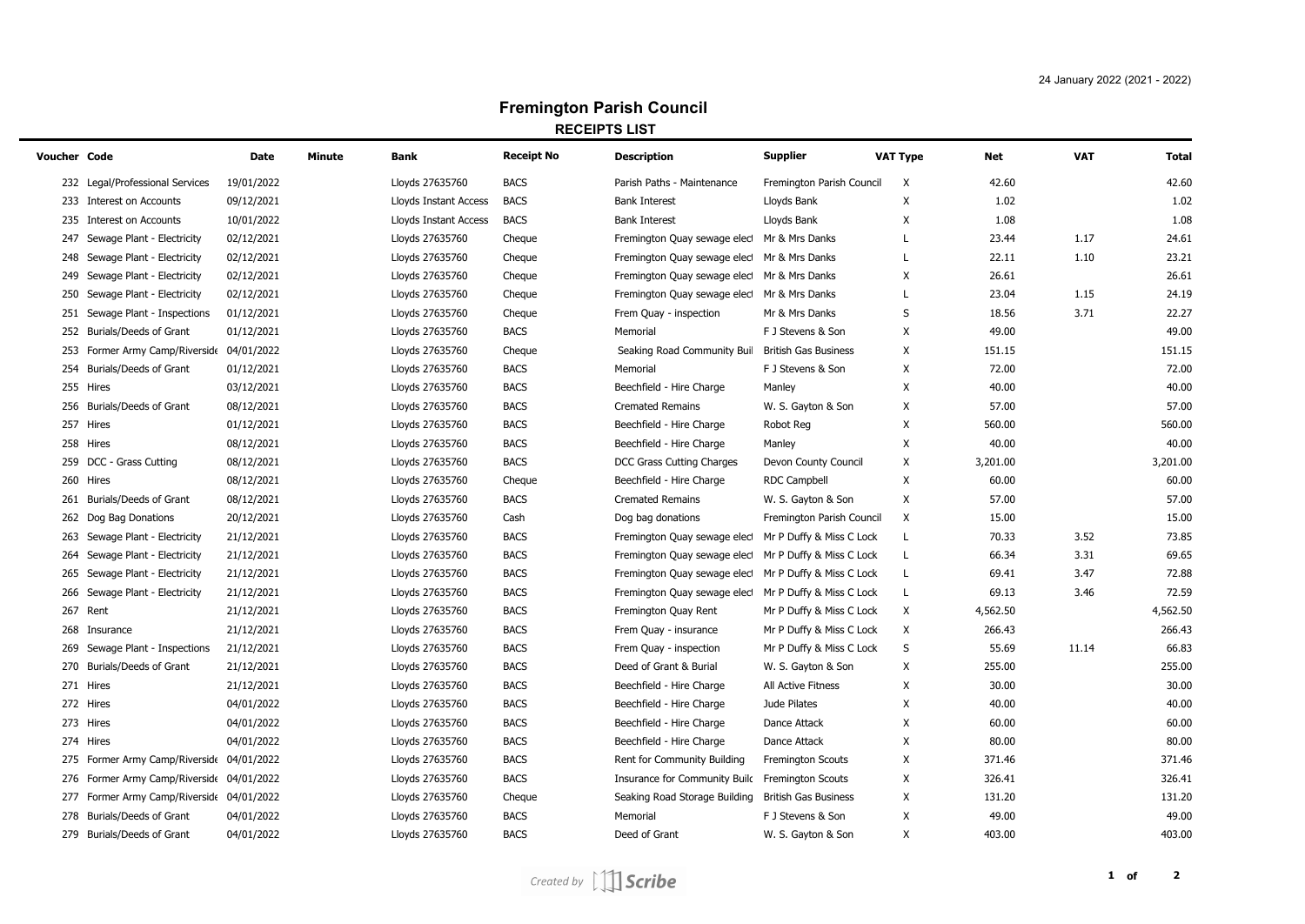## **Fremington Parish Council RECEIPTS LIST**

| Voucher Code |                                           | Date       | Minute | Bank                  | <b>Receipt No</b> | <b>Description</b>                                    | <b>Supplier</b>             | <b>VAT Type</b> | Net      | <b>VAT</b> | <b>Total</b> |
|--------------|-------------------------------------------|------------|--------|-----------------------|-------------------|-------------------------------------------------------|-----------------------------|-----------------|----------|------------|--------------|
|              | 232 Legal/Professional Services           | 19/01/2022 |        | Lloyds 27635760       | <b>BACS</b>       | Parish Paths - Maintenance                            | Fremington Parish Council   | X               | 42.60    |            | 42.60        |
|              | 233 Interest on Accounts                  | 09/12/2021 |        | Lloyds Instant Access | <b>BACS</b>       | <b>Bank Interest</b>                                  | Lloyds Bank                 | X               | 1.02     |            | 1.02         |
|              | 235 Interest on Accounts                  | 10/01/2022 |        | Lloyds Instant Access | <b>BACS</b>       | <b>Bank Interest</b>                                  | Lloyds Bank                 | X               | 1.08     |            | 1.08         |
|              | 247 Sewage Plant - Electricity            | 02/12/2021 |        | Lloyds 27635760       | Cheque            | Fremington Quay sewage elec Mr & Mrs Danks            |                             | L               | 23.44    | 1.17       | 24.61        |
|              | 248 Sewage Plant - Electricity            | 02/12/2021 |        | Lloyds 27635760       | Cheque            | Fremington Quay sewage elect Mr & Mrs Danks           |                             | L               | 22.11    | 1.10       | 23.21        |
|              | 249 Sewage Plant - Electricity            | 02/12/2021 |        | Lloyds 27635760       | Cheque            | Fremington Quay sewage elect Mr & Mrs Danks           |                             | X               | 26.61    |            | 26.61        |
|              | 250 Sewage Plant - Electricity            | 02/12/2021 |        | Lloyds 27635760       | Cheque            | Fremington Quay sewage elect                          | Mr & Mrs Danks              | L               | 23.04    | 1.15       | 24.19        |
|              | 251 Sewage Plant - Inspections            | 01/12/2021 |        | Lloyds 27635760       | Cheque            | Frem Quay - inspection                                | Mr & Mrs Danks              | S               | 18.56    | 3.71       | 22.27        |
|              | 252 Burials/Deeds of Grant                | 01/12/2021 |        | Lloyds 27635760       | <b>BACS</b>       | Memorial                                              | F J Stevens & Son           | X               | 49.00    |            | 49.00        |
|              | 253 Former Army Camp/Riverside 04/01/2022 |            |        | Lloyds 27635760       | Cheque            | Seaking Road Community Buil British Gas Business      |                             | X               | 151.15   |            | 151.15       |
|              | 254 Burials/Deeds of Grant                | 01/12/2021 |        | Lloyds 27635760       | <b>BACS</b>       | Memorial                                              | F J Stevens & Son           | X               | 72.00    |            | 72.00        |
|              | 255 Hires                                 | 03/12/2021 |        | Lloyds 27635760       | <b>BACS</b>       | Beechfield - Hire Charge                              | Manley                      | Χ               | 40.00    |            | 40.00        |
|              | 256 Burials/Deeds of Grant                | 08/12/2021 |        | Lloyds 27635760       | <b>BACS</b>       | <b>Cremated Remains</b>                               | W. S. Gayton & Son          | X               | 57.00    |            | 57.00        |
|              | 257 Hires                                 | 01/12/2021 |        | Lloyds 27635760       | <b>BACS</b>       | Beechfield - Hire Charge                              | Robot Reg                   | X               | 560.00   |            | 560.00       |
|              | 258 Hires                                 | 08/12/2021 |        | Lloyds 27635760       | <b>BACS</b>       | Beechfield - Hire Charge                              | Manley                      | X               | 40.00    |            | 40.00        |
|              | 259 DCC - Grass Cutting                   | 08/12/2021 |        | Lloyds 27635760       | <b>BACS</b>       | DCC Grass Cutting Charges                             | Devon County Council        | X               | 3,201.00 |            | 3,201.00     |
|              | 260 Hires                                 | 08/12/2021 |        | Lloyds 27635760       | Cheque            | Beechfield - Hire Charge                              | <b>RDC Campbell</b>         | X               | 60.00    |            | 60.00        |
|              | 261 Burials/Deeds of Grant                | 08/12/2021 |        | Lloyds 27635760       | <b>BACS</b>       | <b>Cremated Remains</b>                               | W. S. Gayton & Son          | X               | 57.00    |            | 57.00        |
|              | 262 Dog Bag Donations                     | 20/12/2021 |        | Lloyds 27635760       | Cash              | Dog bag donations                                     | Fremington Parish Council   | X               | 15.00    |            | 15.00        |
|              | 263 Sewage Plant - Electricity            | 21/12/2021 |        | Lloyds 27635760       | <b>BACS</b>       | Fremington Quay sewage elect                          | Mr P Duffy & Miss C Lock    | L               | 70.33    | 3.52       | 73.85        |
|              | 264 Sewage Plant - Electricity            | 21/12/2021 |        | Lloyds 27635760       | <b>BACS</b>       | Fremington Quay sewage elect                          | Mr P Duffy & Miss C Lock    | L               | 66.34    | 3.31       | 69.65        |
|              | 265 Sewage Plant - Electricity            | 21/12/2021 |        | Lloyds 27635760       | <b>BACS</b>       | Fremington Quay sewage elect                          | Mr P Duffy & Miss C Lock    | L               | 69.41    | 3.47       | 72.88        |
|              | 266 Sewage Plant - Electricity            | 21/12/2021 |        | Lloyds 27635760       | <b>BACS</b>       | Fremington Quay sewage elect Mr P Duffy & Miss C Lock |                             | L               | 69.13    | 3.46       | 72.59        |
|              | 267 Rent                                  | 21/12/2021 |        | Lloyds 27635760       | <b>BACS</b>       | Fremington Quay Rent                                  | Mr P Duffy & Miss C Lock    | X               | 4,562.50 |            | 4,562.50     |
|              | 268 Insurance                             | 21/12/2021 |        | Lloyds 27635760       | <b>BACS</b>       | Frem Quay - insurance                                 | Mr P Duffy & Miss C Lock    | X               | 266.43   |            | 266.43       |
|              | 269 Sewage Plant - Inspections            | 21/12/2021 |        | Lloyds 27635760       | <b>BACS</b>       | Frem Quay - inspection                                | Mr P Duffy & Miss C Lock    | S               | 55.69    | 11.14      | 66.83        |
|              | 270 Burials/Deeds of Grant                | 21/12/2021 |        | Lloyds 27635760       | <b>BACS</b>       | Deed of Grant & Burial                                | W. S. Gayton & Son          | X               | 255.00   |            | 255.00       |
|              | 271 Hires                                 | 21/12/2021 |        | Lloyds 27635760       | <b>BACS</b>       | Beechfield - Hire Charge                              | All Active Fitness          | X               | 30.00    |            | 30.00        |
|              | 272 Hires                                 | 04/01/2022 |        | Lloyds 27635760       | <b>BACS</b>       | Beechfield - Hire Charge                              | Jude Pilates                | X               | 40.00    |            | 40.00        |
|              | 273 Hires                                 | 04/01/2022 |        | Lloyds 27635760       | <b>BACS</b>       | Beechfield - Hire Charge                              | Dance Attack                | X               | 60.00    |            | 60.00        |
|              | 274 Hires                                 | 04/01/2022 |        | Lloyds 27635760       | <b>BACS</b>       | Beechfield - Hire Charge                              | Dance Attack                | X               | 80.00    |            | 80.00        |
|              | 275 Former Army Camp/Riverside 04/01/2022 |            |        | Lloyds 27635760       | <b>BACS</b>       | Rent for Community Building                           | Fremington Scouts           | X               | 371.46   |            | 371.46       |
|              | 276 Former Army Camp/Riverside 04/01/2022 |            |        | Lloyds 27635760       | <b>BACS</b>       | Insurance for Community Build                         | Fremington Scouts           | X               | 326.41   |            | 326.41       |
|              | 277 Former Army Camp/Riverside 04/01/2022 |            |        | Lloyds 27635760       | Cheque            | Seaking Road Storage Building                         | <b>British Gas Business</b> | X               | 131.20   |            | 131.20       |
|              | 278 Burials/Deeds of Grant                | 04/01/2022 |        | Lloyds 27635760       | <b>BACS</b>       | Memorial                                              | F J Stevens & Son           | X               | 49.00    |            | 49.00        |
|              | 279 Burials/Deeds of Grant                | 04/01/2022 |        | Lloyds 27635760       | <b>BACS</b>       | Deed of Grant                                         | W. S. Gayton & Son          | $\mathsf{x}$    | 403.00   |            | 403.00       |